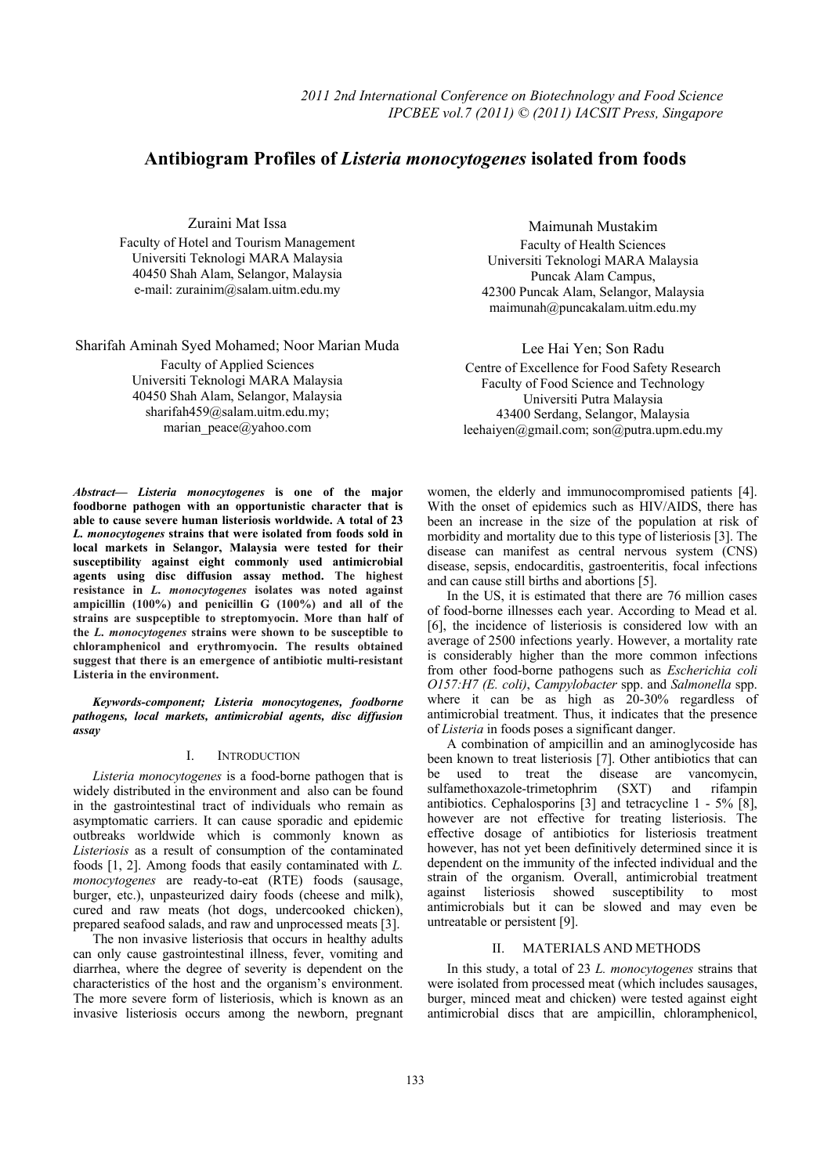# **Antibiogram Profiles of** *Listeria monocytogenes* **isolated from foods**

Zuraini Mat Issa

Faculty of Hotel and Tourism Management Universiti Teknologi MARA Malaysia 40450 Shah Alam, Selangor, Malaysia e-mail: zurainim@salam.uitm.edu.my

Sharifah Aminah Syed Mohamed; Noor Marian Muda

Faculty of Applied Sciences Universiti Teknologi MARA Malaysia 40450 Shah Alam, Selangor, Malaysia sharifah459@salam.uitm.edu.my; marian\_peace@yahoo.com

Maimunah Mustakim Faculty of Health Sciences Universiti Teknologi MARA Malaysia Puncak Alam Campus, 42300 Puncak Alam, Selangor, Malaysia maimunah@puncakalam.uitm.edu.my

Lee Hai Yen; Son Radu Centre of Excellence for Food Safety Research Faculty of Food Science and Technology Universiti Putra Malaysia 43400 Serdang, Selangor, Malaysia leehaiyen@gmail.com; son@putra.upm.edu.my

*Abstract***—** *Listeria monocytogenes* **is one of the major foodborne pathogen with an opportunistic character that is able to cause severe human listeriosis worldwide. A total of 23**  *L. monocytogenes* **strains that were isolated from foods sold in local markets in Selangor, Malaysia were tested for their susceptibility against eight commonly used antimicrobial agents using disc diffusion assay method. The highest resistance in** *L. monocytogenes* **isolates was noted against ampicillin (100%) and penicillin G (100%) and all of the strains are suspceptible to streptomyocin. More than half of the** *L. monocytogenes* **strains were shown to be susceptible to chloramphenicol and erythromyocin. The results obtained suggest that there is an emergence of antibiotic multi-resistant Listeria in the environment.** 

*Keywords-component; Listeria monocytogenes, foodborne pathogens, local markets, antimicrobial agents, disc diffusion assay* 

## I. INTRODUCTION

*Listeria monocytogenes* is a food-borne pathogen that is widely distributed in the environment and also can be found in the gastrointestinal tract of individuals who remain as asymptomatic carriers. It can cause sporadic and epidemic outbreaks worldwide which is commonly known as *Listeriosis* as a result of consumption of the contaminated foods [1, 2]. Among foods that easily contaminated with *L. monocytogenes* are ready-to-eat (RTE) foods (sausage, burger, etc.), unpasteurized dairy foods (cheese and milk), cured and raw meats (hot dogs, undercooked chicken), prepared seafood salads, and raw and unprocessed meats [3].

The non invasive listeriosis that occurs in healthy adults can only cause gastrointestinal illness, fever, vomiting and diarrhea, where the degree of severity is dependent on the characteristics of the host and the organism's environment. The more severe form of listeriosis, which is known as an invasive listeriosis occurs among the newborn, pregnant

women, the elderly and immunocompromised patients [4]. With the onset of epidemics such as HIV/AIDS, there has been an increase in the size of the population at risk of morbidity and mortality due to this type of listeriosis [3]. The disease can manifest as central nervous system (CNS) disease, sepsis, endocarditis, gastroenteritis, focal infections and can cause still births and abortions [5].

In the US, it is estimated that there are 76 million cases of food-borne illnesses each year. According to Mead et al. [6], the incidence of listeriosis is considered low with an average of 2500 infections yearly. However, a mortality rate is considerably higher than the more common infections from other food-borne pathogens such as *Escherichia coli O157:H7 (E. coli)*, *Campylobacter* spp. and *Salmonella* spp. where it can be as high as 20-30% regardless of antimicrobial treatment. Thus, it indicates that the presence of *Listeria* in foods poses a significant danger.

A combination of ampicillin and an aminoglycoside has been known to treat listeriosis [7]. Other antibiotics that can be used to treat the disease are vancomycin, sulfamethoxazole-trimetophrim (SXT) and rifampin antibiotics. Cephalosporins [3] and tetracycline 1 - 5% [8], however are not effective for treating listeriosis. The effective dosage of antibiotics for listeriosis treatment however, has not yet been definitively determined since it is dependent on the immunity of the infected individual and the strain of the organism. Overall, antimicrobial treatment against listeriosis showed susceptibility to most antimicrobials but it can be slowed and may even be untreatable or persistent [9].

## II. MATERIALS AND METHODS

In this study, a total of 23 *L. monocytogenes* strains that were isolated from processed meat (which includes sausages, burger, minced meat and chicken) were tested against eight antimicrobial discs that are ampicillin, chloramphenicol,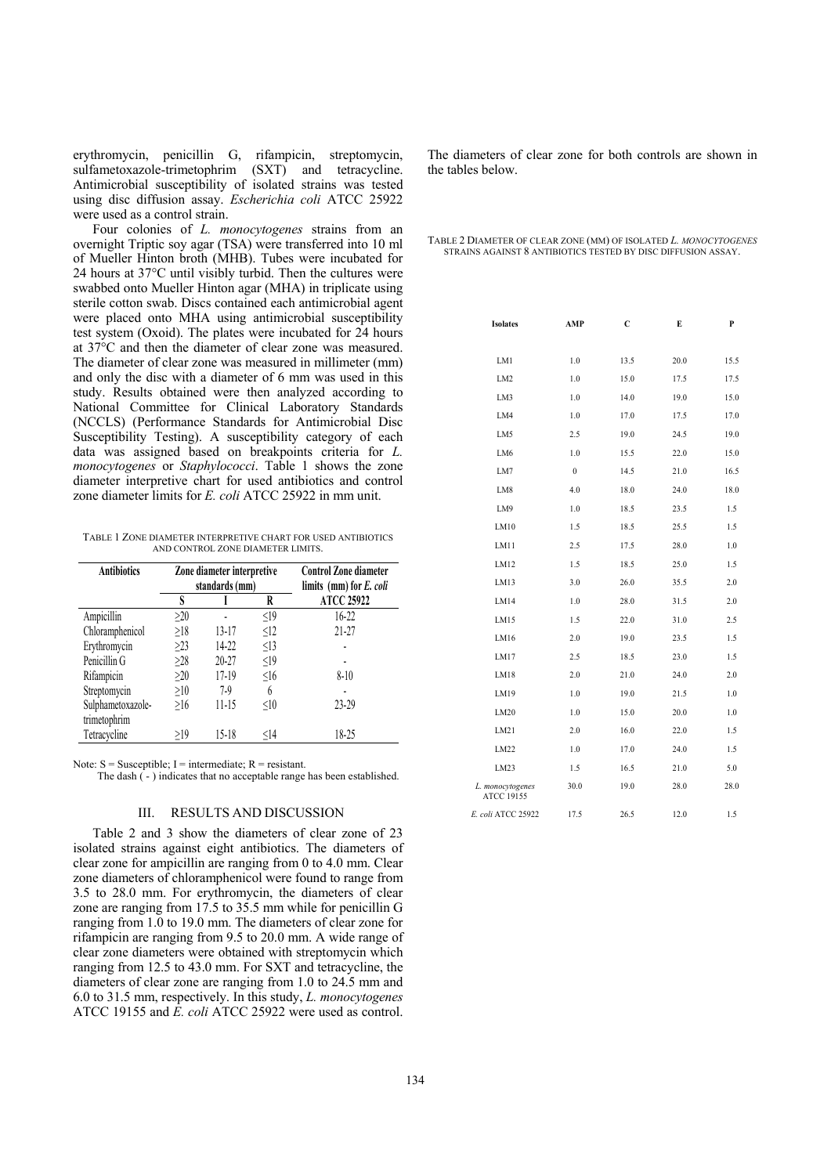erythromycin, penicillin G, rifampicin, streptomycin, sulfametoxazole-trimetophrim (SXT) and tetracycline. Antimicrobial susceptibility of isolated strains was tested using disc diffusion assay. *Escherichia coli* ATCC 25922 were used as a control strain.

Four colonies of *L. monocytogenes* strains from an overnight Triptic soy agar (TSA) were transferred into 10 ml of Mueller Hinton broth (MHB). Tubes were incubated for 24 hours at 37°C until visibly turbid. Then the cultures were swabbed onto Mueller Hinton agar (MHA) in triplicate using sterile cotton swab. Discs contained each antimicrobial agent were placed onto MHA using antimicrobial susceptibility test system (Oxoid). The plates were incubated for 24 hours at 37°C and then the diameter of clear zone was measured. The diameter of clear zone was measured in millimeter (mm) and only the disc with a diameter of 6 mm was used in this study. Results obtained were then analyzed according to National Committee for Clinical Laboratory Standards (NCCLS) (Performance Standards for Antimicrobial Disc Susceptibility Testing). A susceptibility category of each data was assigned based on breakpoints criteria for *L. monocytogenes* or *Staphylococci*. Table 1 shows the zone diameter interpretive chart for used antibiotics and control zone diameter limits for *E. coli* ATCC 25922 in mm unit.

TABLE 1 ZONE DIAMETER INTERPRETIVE CHART FOR USED ANTIBIOTICS AND CONTROL ZONE DIAMETER LIMITS.

| <b>Antibiotics</b> | Zone diameter interpretive<br>standards (mm) |           | <b>Control Zone diameter</b><br>limits (mm) for E. coli |                   |  |
|--------------------|----------------------------------------------|-----------|---------------------------------------------------------|-------------------|--|
|                    | S                                            |           | R                                                       | <b>ATCC 25922</b> |  |
| Ampicillin         | $\geq 20$                                    |           | <19                                                     | $16-22$           |  |
| Chloramphenicol    | $\geq$ 18                                    | $13 - 17$ | $\leq$ 12                                               | 21-27             |  |
| Erythromycin       | $\geq$ 23                                    | 14-22     | $\leq$ 13                                               |                   |  |
| Penicillin G       | >28                                          | 20-27     | <19                                                     |                   |  |
| Rifampicin         | >20                                          | 17-19     | $\leq$ 16                                               | $8 - 10$          |  |
| Streptomycin       | $\geq10$                                     | 7-9       | 6                                                       |                   |  |
| Sulphametoxazole-  | >16                                          | 11-15     | <10                                                     | 23-29             |  |
| trimetophrim       |                                              |           |                                                         |                   |  |
| Tetracycline       | >19                                          | $15 - 18$ | $<$ 14                                                  | 18-25             |  |

Note:  $S =$  Susceptible; I = intermediate;  $R =$  resistant.

The dash  $\hat{(-)}$  indicates that no acceptable range has been established.

#### III. RESULTS AND DISCUSSION

Table 2 and 3 show the diameters of clear zone of 23 isolated strains against eight antibiotics. The diameters of clear zone for ampicillin are ranging from 0 to 4.0 mm. Clear zone diameters of chloramphenicol were found to range from 3.5 to 28.0 mm. For erythromycin, the diameters of clear zone are ranging from 17.5 to 35.5 mm while for penicillin G ranging from 1.0 to 19.0 mm. The diameters of clear zone for rifampicin are ranging from 9.5 to 20.0 mm. A wide range of clear zone diameters were obtained with streptomycin which ranging from 12.5 to 43.0 mm. For SXT and tetracycline, the diameters of clear zone are ranging from 1.0 to 24.5 mm and 6.0 to 31.5 mm, respectively. In this study, *L. monocytogenes* ATCC 19155 and *E. coli* ATCC 25922 were used as control.

The diameters of clear zone for both controls are shown in the tables below.

| TABLE 2 DIAMETER OF CLEAR ZONE (MM) OF ISOLATED L. MONOCYTOGENES |  |
|------------------------------------------------------------------|--|
| STRAINS AGAINST 8 ANTIBIOTICS TESTED BY DISC DIFFUSION ASSAY.    |  |

| <b>Isolates</b>                | AMP              | C    | E    | P    |
|--------------------------------|------------------|------|------|------|
| LM1                            | 1.0              | 13.5 | 20.0 | 15.5 |
| LM <sub>2</sub>                | 1.0              | 15.0 | 17.5 | 17.5 |
| LM3                            | 1.0              | 14.0 | 19.0 | 15.0 |
| LM4                            | 1.0              | 17.0 | 17.5 | 17.0 |
| LM5                            | 2.5              | 19.0 | 24.5 | 19.0 |
| LM6                            | 1.0              | 15.5 | 22.0 | 15.0 |
| LM7                            | $\boldsymbol{0}$ | 14.5 | 21.0 | 16.5 |
| LM8                            | 4.0              | 18.0 | 24.0 | 18.0 |
| LM9                            | 1.0              | 18.5 | 23.5 | 1.5  |
| LM10                           | 1.5              | 18.5 | 25.5 | 1.5  |
| LM11                           | 2.5              | 17.5 | 28.0 | 1.0  |
| LM12                           | 1.5              | 18.5 | 25.0 | 1.5  |
| LM13                           | 3.0              | 26.0 | 35.5 | 2.0  |
| LM14                           | 1.0              | 28.0 | 31.5 | 2.0  |
| LM15                           | 1.5              | 22.0 | 31.0 | 2.5  |
| LM16                           | 2.0              | 19.0 | 23.5 | 1.5  |
| LM17                           | 2.5              | 18.5 | 23.0 | 1.5  |
| LM18                           | 2.0              | 21.0 | 24.0 | 2.0  |
| LM19                           | 1.0              | 19.0 | 21.5 | 1.0  |
| LM20                           | 1.0              | 15.0 | 20.0 | 1.0  |
| LM21                           | 2.0              | 16.0 | 22.0 | 1.5  |
| LM22                           | 1.0              | 17.0 | 24.0 | 1.5  |
| LM23                           | 1.5              | 16.5 | 21.0 | 5.0  |
| L. monocytogenes<br>ATCC 19155 | 30.0             | 19.0 | 28.0 | 28.0 |
| E. coli ATCC 25922             | 17.5             | 26.5 | 12.0 | 1.5  |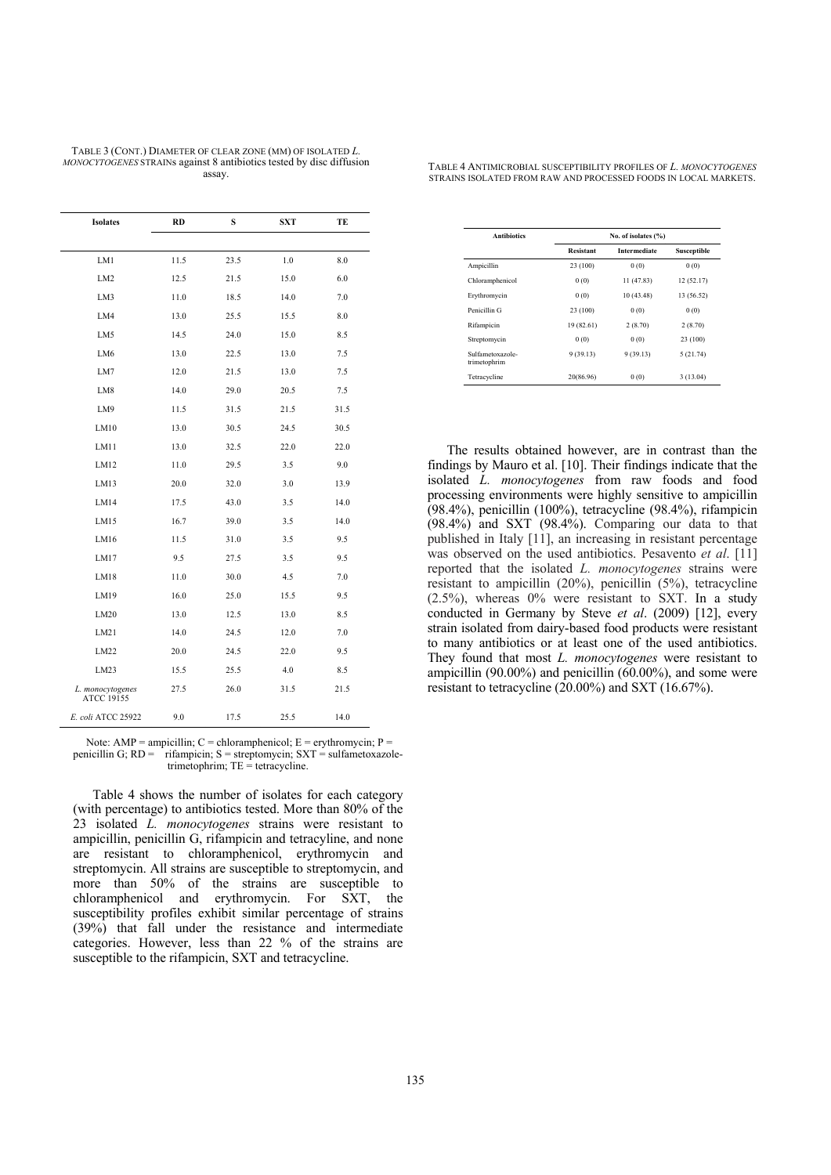| <b>Isolates</b>                       | RD   | S    | <b>SXT</b> | TE   |
|---------------------------------------|------|------|------------|------|
|                                       |      |      |            |      |
| LM1                                   | 11.5 | 23.5 | 1.0        | 8.0  |
| LM <sub>2</sub>                       | 12.5 | 21.5 | 15.0       | 6.0  |
| LM3                                   | 11.0 | 18.5 | 14.0       | 7.0  |
| LM4                                   | 13.0 | 25.5 | 15.5       | 8.0  |
| LM5                                   | 14.5 | 24.0 | 15.0       | 8.5  |
| LM <sub>6</sub>                       | 13.0 | 22.5 | 13.0       | 7.5  |
| LM7                                   | 12.0 | 21.5 | 13.0       | 7.5  |
| LM8                                   | 14.0 | 29.0 | 20.5       | 7.5  |
| LM9                                   | 11.5 | 31.5 | 21.5       | 31.5 |
| LM10                                  | 13.0 | 30.5 | 24.5       | 30.5 |
| LM11                                  | 13.0 | 32.5 | 22.0       | 22.0 |
| LM12                                  | 11.0 | 29.5 | 3.5        | 9.0  |
| LM13                                  | 20.0 | 32.0 | 3.0        | 13.9 |
| LM14                                  | 17.5 | 43.0 | 3.5        | 14.0 |
| LM15                                  | 16.7 | 39.0 | 3.5        | 14.0 |
| LM16                                  | 11.5 | 31.0 | 3.5        | 9.5  |
| LM17                                  | 9.5  | 27.5 | 3.5        | 9.5  |
| LM18                                  | 11.0 | 30.0 | 4.5        | 7.0  |
| LM19                                  | 16.0 | 25.0 | 15.5       | 9.5  |
| LM20                                  | 13.0 | 12.5 | 13.0       | 8.5  |
| LM21                                  | 14.0 | 24.5 | 12.0       | 7.0  |
| LM22                                  | 20.0 | 24.5 | 22.0       | 9.5  |
| LM23                                  | 15.5 | 25.5 | 4.0        | 8.5  |
| L. monocytogenes<br><b>ATCC 19155</b> | 27.5 | 26.0 | 31.5       | 21.5 |
| E. coli ATCC 25922                    | 9.0  | 17.5 | 25.5       | 14.0 |

TABLE 3 (CONT.) DIAMETER OF CLEAR ZONE (MM) OF ISOLATED *L. MONOCYTOGENES* STRAINs against 8 antibiotics tested by disc diffusion assay.

Note: AMP = ampicillin;  $C =$  chloramphenicol;  $E =$  erythromycin;  $P =$ penicillin G;  $RD = \hat{i}$ rifampicin; S = streptomycin; SXT = sulfametoxazoletrimetophrim; TE = tetracycline.

Table 4 shows the number of isolates for each category (with percentage) to antibiotics tested. More than 80% of the 23 isolated *L. monocytogenes* strains were resistant to ampicillin, penicillin G, rifampicin and tetracyline, and none are resistant to chloramphenicol, erythromycin and streptomycin. All strains are susceptible to streptomycin, and more than 50% of the strains are susceptible to chloramphenicol and erythromycin. For SXT, the susceptibility profiles exhibit similar percentage of strains (39%) that fall under the resistance and intermediate categories. However, less than 22 % of the strains are susceptible to the rifampicin, SXT and tetracycline.

TABLE 4 ANTIMICROBIAL SUSCEPTIBILITY PROFILES OF *L. MONOCYTOGENES* STRAINS ISOLATED FROM RAW AND PROCESSED FOODS IN LOCAL MARKETS.

| <b>Antibiotics</b>               | No. of isolates (%) |                     |             |  |  |  |
|----------------------------------|---------------------|---------------------|-------------|--|--|--|
|                                  | <b>Resistant</b>    | <b>Intermediate</b> | Susceptible |  |  |  |
| Ampicillin                       | 23 (100)            | 0(0)                | 0(0)        |  |  |  |
| Chloramphenicol                  | 0(0)                | 11 (47.83)          | 12(52.17)   |  |  |  |
| Erythromycin                     | 0(0)                | 10 (43.48)          | 13 (56.52)  |  |  |  |
| Penicillin G                     | 23 (100)            | 0(0)                | 0(0)        |  |  |  |
| Rifampicin                       | 19 (82.61)          | 2(8.70)             | 2(8.70)     |  |  |  |
| Streptomycin                     | 0(0)                | 0(0)                | 23 (100)    |  |  |  |
| Sulfametoxazole-<br>trimetophrim | 9(39.13)            | 9(39.13)            | 5(21.74)    |  |  |  |
| Tetracycline                     | 20(86.96)           | 0(0)                | 3(13.04)    |  |  |  |

The results obtained however, are in contrast than the findings by Mauro et al. [10]. Their findings indicate that the isolated *L. monocytogenes* from raw foods and food processing environments were highly sensitive to ampicillin (98.4%), penicillin (100%), tetracycline (98.4%), rifampicin (98.4%) and SXT (98.4%). Comparing our data to that published in Italy [11], an increasing in resistant percentage was observed on the used antibiotics. Pesavento *et al*. [11] reported that the isolated *L. monocytogenes* strains were resistant to ampicillin (20%), penicillin (5%), tetracycline  $(2.5\%)$ , whereas  $0\%$  were resistant to SXT. In a study conducted in Germany by Steve *et al*. (2009) [12], every strain isolated from dairy-based food products were resistant to many antibiotics or at least one of the used antibiotics. They found that most *L. monocytogenes* were resistant to ampicillin (90.00%) and penicillin (60.00%), and some were resistant to tetracycline (20.00%) and SXT (16.67%).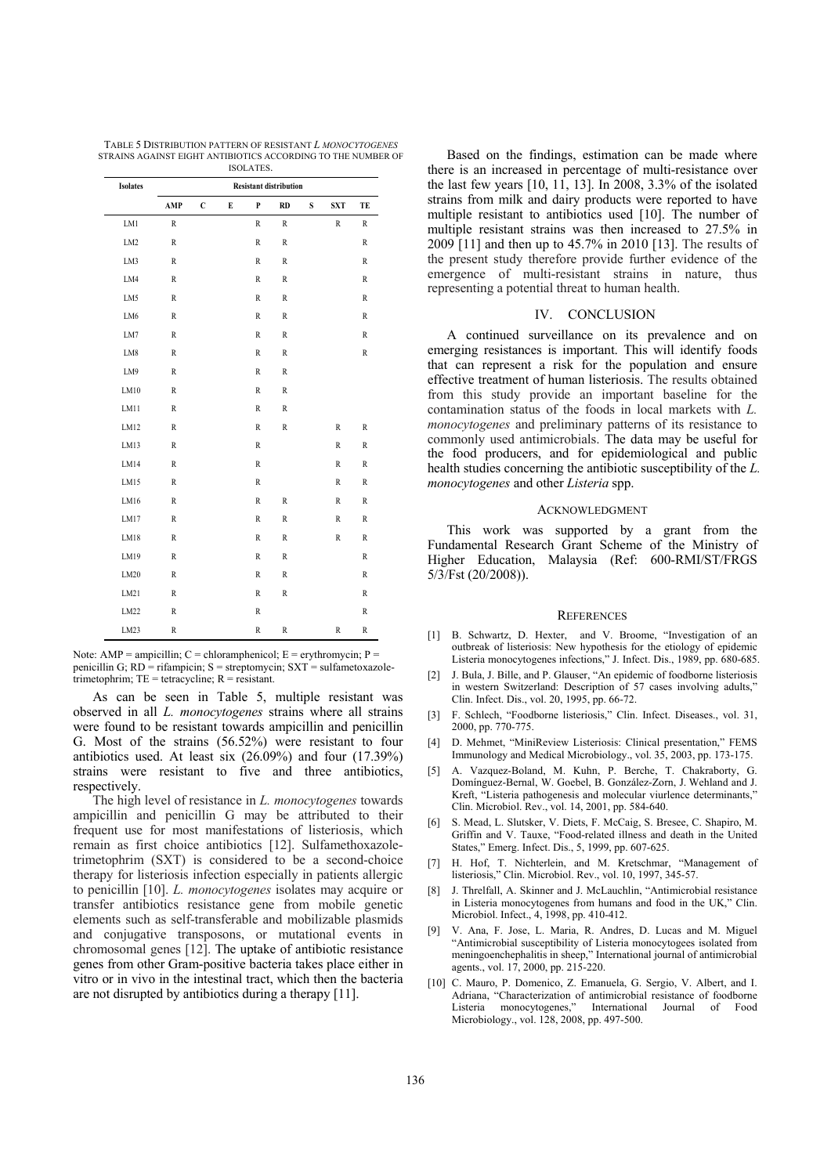| TABLE 5 DISTRIBUTION PATTERN OF RESISTANT L MONOCYTOGENES    |
|--------------------------------------------------------------|
| STRAINS AGAINST EIGHT ANTIBIOTICS ACCORDING TO THE NUMBER OF |
| ISOLATES.                                                    |

| <b>Isolates</b> | <b>Resistant distribution</b> |              |   |               |               |           |             |              |
|-----------------|-------------------------------|--------------|---|---------------|---------------|-----------|-------------|--------------|
|                 | AMP                           | $\mathbf{C}$ | E | P             | RD            | ${\bf S}$ | <b>SXT</b>  | TE           |
| LM1             | $\,$ R                        |              |   | $\,$ R        | $\,$ R        |           | $\,$ R      | $\,$ R       |
| LM <sub>2</sub> | R                             |              |   | $\,$ R        | $\mathbb R$   |           |             | $\mathbb R$  |
| LM3             | $\,$ R                        |              |   | $\,$ R        | $\,$ R        |           |             | $\, {\bf R}$ |
| LM4             | $\,$ R                        |              |   | $\,$ R        | $\,$ R        |           |             | $\,$ R       |
| LM5             | $\,$ R                        |              |   | $\,$ R        | $\,$ R        |           |             | $\, {\bf R}$ |
| LM6             | $\,$ R                        |              |   | ${\mathbb R}$ | $\,$ R        |           |             | $\,$ R       |
| LM7             | $\,$ R                        |              |   | $\,$ R        | $\,$ R        |           |             | $\,$ R       |
| ${\rm LM8}$     | $\,$ R                        |              |   | $\,$ R        | $\,$ R        |           |             | $\, {\bf R}$ |
| LM9             | $\,$ R                        |              |   | $\,$ R        | $\mathbb R$   |           |             |              |
| LM10            | $\,$ R                        |              |   | $\,$ R        | $\,$ R        |           |             |              |
| LM11            | $\,$ R                        |              |   | $\,$ R        | $\,$ R        |           |             |              |
| LM12            | $\,$ R                        |              |   | $\,$ R        | $\,$ R        |           | $\mathbb R$ | $\,$ R       |
| LM13            | $\,$ R                        |              |   | $\,$ R        |               |           | $\mathbb R$ | $\,$ R       |
| LM14            | $\,$ R                        |              |   | $\,$ R        |               |           | $\,$ R      | $\,$ R       |
| LM15            | $\,$ R                        |              |   | $\,$ R        |               |           | $\mathbb R$ | $\,$ R       |
| LM16            | $\,$ R                        |              |   | ${\mathbb R}$ | $\,$ R        |           | $\,$ R      | $\,$ R       |
| LM17            | $\,$ R                        |              |   | $\,$ R        | $\mathbb R$   |           | $\mathbb R$ | $\,$ R       |
| LM18            | R                             |              |   | $\,$ R        | $\,$ R        |           | $\,$ R      | $\, {\bf R}$ |
| LM19            | $\,$ R                        |              |   | $\,$ R        | $\,$ R        |           |             | $\,$ R       |
| LM20            | $\,$ R                        |              |   | $\,$ R        | $\,$ R        |           |             | $\, {\bf R}$ |
| LM21            | $\,$ R                        |              |   | $\,$ R        | $\,$ R        |           |             | $\,$ R       |
| LM22            | $\,$ R                        |              |   | $\,$ R        |               |           |             | $\,$ R       |
| LM23            | R                             |              |   | $\,$ R        | ${\mathbb R}$ |           | $\mathbb R$ | $\mathbb R$  |

Note: AMP = ampicillin;  $C =$  chloramphenicol;  $E =$  erythromycin;  $P =$ penicillin G; RD = rifampicin; S = streptomycin; SXT = sulfametoxazoletrimetophrim;  $TE = tetracycline$ ;  $R = resistant$ .

As can be seen in Table 5, multiple resistant was observed in all *L. monocytogenes* strains where all strains were found to be resistant towards ampicillin and penicillin G. Most of the strains (56.52%) were resistant to four antibiotics used. At least six (26.09%) and four (17.39%) strains were resistant to five and three antibiotics, respectively.

The high level of resistance in *L. monocytogenes* towards ampicillin and penicillin G may be attributed to their frequent use for most manifestations of listeriosis, which remain as first choice antibiotics [12]. Sulfamethoxazoletrimetophrim (SXT) is considered to be a second-choice therapy for listeriosis infection especially in patients allergic to penicillin [10]. *L. monocytogenes* isolates may acquire or transfer antibiotics resistance gene from mobile genetic elements such as self-transferable and mobilizable plasmids and conjugative transposons, or mutational events in chromosomal genes [12]. The uptake of antibiotic resistance genes from other Gram-positive bacteria takes place either in vitro or in vivo in the intestinal tract, which then the bacteria are not disrupted by antibiotics during a therapy [11].

Based on the findings, estimation can be made where there is an increased in percentage of multi-resistance over the last few years [10, 11, 13]. In 2008, 3.3% of the isolated strains from milk and dairy products were reported to have multiple resistant to antibiotics used [10]. The number of multiple resistant strains was then increased to 27.5% in 2009 [11] and then up to 45.7% in 2010 [13]. The results of the present study therefore provide further evidence of the emergence of multi-resistant strains in nature, thus representing a potential threat to human health.

## IV. CONCLUSION

A continued surveillance on its prevalence and on emerging resistances is important. This will identify foods that can represent a risk for the population and ensure effective treatment of human listeriosis. The results obtained from this study provide an important baseline for the contamination status of the foods in local markets with *L. monocytogenes* and preliminary patterns of its resistance to commonly used antimicrobials. The data may be useful for the food producers, and for epidemiological and public health studies concerning the antibiotic susceptibility of the *L. monocytogenes* and other *Listeria* spp.

### ACKNOWLEDGMENT

This work was supported by a grant from the Fundamental Research Grant Scheme of the Ministry of Higher Education, Malaysia (Ref: 600-RMI/ST/FRGS 5/3/Fst (20/2008)).

#### **REFERENCES**

- [1] B. Schwartz, D. Hexter, and V. Broome, "Investigation of an outbreak of listeriosis: New hypothesis for the etiology of epidemic Listeria monocytogenes infections," J. Infect. Dis., 1989, pp. 680-685.
- [2] J. Bula, J. Bille, and P. Glauser, "An epidemic of foodborne listeriosis in western Switzerland: Description of 57 cases involving adults.' Clin. Infect. Dis., vol. 20, 1995, pp. 66-72.
- [3] F. Schlech, "Foodborne listeriosis," Clin. Infect. Diseases., vol. 31, 2000, pp. 770-775.
- [4] D. Mehmet, "MiniReview Listeriosis: Clinical presentation," FEMS Immunology and Medical Microbiology., vol. 35, 2003, pp. 173-175.
- [5] A. Vazquez-Boland, M. Kuhn, P. Berche, T. Chakraborty, G. Domínguez-Bernal, W. Goebel, B. González-Zorn, J. Wehland and J. Kreft, "Listeria pathogenesis and molecular viurlence determinants," Clin. Microbiol. Rev., vol. 14, 2001, pp. 584-640.
- [6] S. Mead, L. Slutsker, V. Diets, F. McCaig, S. Bresee, C. Shapiro, M. Griffin and V. Tauxe, "Food-related illness and death in the United States," Emerg. Infect. Dis., 5, 1999, pp. 607-625.
- [7] H. Hof, T. Nichterlein, and M. Kretschmar, "Management of listeriosis," Clin. Microbiol. Rev., vol. 10, 1997, 345-57.
- [8] J. Threlfall, A. Skinner and J. McLauchlin, "Antimicrobial resistance in Listeria monocytogenes from humans and food in the UK," Clin. Microbiol. Infect., 4, 1998, pp. 410-412.
- [9] V. Ana, F. Jose, L. Maria, R. Andres, D. Lucas and M. Miguel "Antimicrobial susceptibility of Listeria monocytogees isolated from meningoenchephalitis in sheep," International journal of antimicrobial agents., vol. 17, 2000, pp. 215-220.
- [10] C. Mauro, P. Domenico, Z. Emanuela, G. Sergio, V. Albert, and I. Adriana, "Characterization of antimicrobial resistance of foodborne Listeria monocytogenes," International Journal of Food Microbiology., vol. 128, 2008, pp. 497-500.